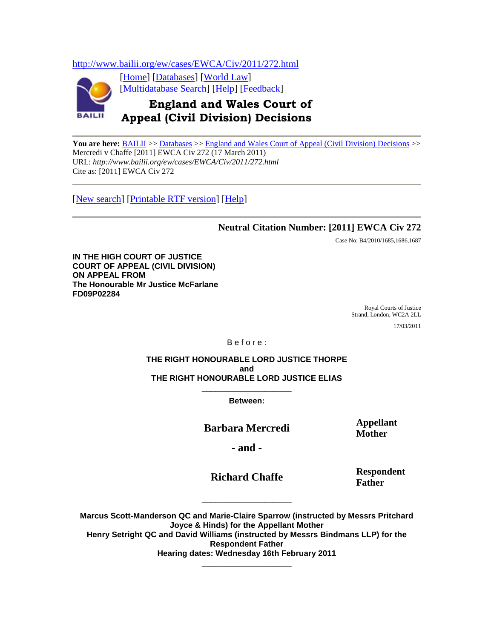<http://www.bailii.org/ew/cases/EWCA/Civ/2011/272.html>



[\[Home\]](http://www.bailii.org/) [\[Databases\]](http://www.bailii.org/databases.html) [\[World Law\]](http://www.austlii.edu.au/links/World/) [\[Multidatabase Search\]](http://www.bailii.org/form/search_multidatabase.html) [\[Help\]](http://www.bailii.org/bailii/help/) [\[Feedback\]](http://www.bailii.org/bailii/feedback.html)

# **England and Wales Court of Appeal (Civil Division) Decisions**

**You are here:** [BAILII](http://www.bailii.org/) >[> Databases](http://www.bailii.org/databases.html) >> [England and Wales Court of Appeal \(Civil Division\) Decisions](http://www.bailii.org/ew/cases/EWCA/Civ/) >> Mercredi v Chaffe [2011] EWCA Civ 272 (17 March 2011) URL: *http://www.bailii.org/ew/cases/EWCA/Civ/2011/272.html* Cite as: [2011] EWCA Civ 272

[\[New search\]](http://www.bailii.org/form/search_cases.html) [\[Printable RTF version\]](http://www.bailii.org/ew/cases/EWCA/Civ/2011/272.rtf) [\[Help\]](http://www.bailii.org/bailii/help/)

**Neutral Citation Number: [2011] EWCA Civ 272**

Case No: B4/2010/1685,1686,1687

**IN THE HIGH COURT OF JUSTICE COURT OF APPEAL (CIVIL DIVISION) ON APPEAL FROM The Honourable Mr Justice McFarlane FD09P02284**

> Royal Courts of Justice Strand, London, WC2A 2LL

> > 17/03/2011

B e f o r e :

**THE RIGHT HONOURABLE LORD JUSTICE THORPE and THE RIGHT HONOURABLE LORD JUSTICE ELIAS**

> \_\_\_\_\_\_\_\_\_\_\_\_\_\_\_\_\_\_\_\_ **Between:**

**Barbara Mercredi Appellant** 

**Mother**

**- and -**

\_\_\_\_\_\_\_\_\_\_\_\_\_\_\_\_\_\_\_\_

**Richard Chaffe Respondent Father**

**Marcus Scott-Manderson QC and Marie-Claire Sparrow (instructed by Messrs Pritchard Joyce & Hinds) for the Appellant Mother Henry Setright QC and David Williams (instructed by Messrs Bindmans LLP) for the Respondent Father Hearing dates: Wednesday 16th February 2011** 

\_\_\_\_\_\_\_\_\_\_\_\_\_\_\_\_\_\_\_\_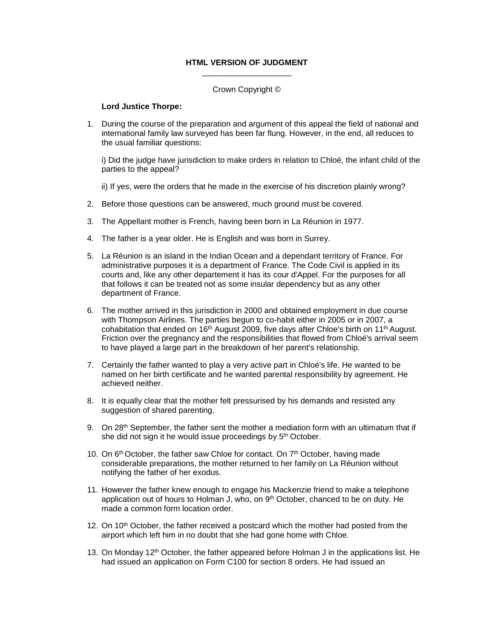# **HTML VERSION OF JUDGMENT** \_\_\_\_\_\_\_\_\_\_\_\_\_\_\_\_\_\_\_\_

# Crown Copyright ©

### **Lord Justice Thorpe:**

1. During the course of the preparation and argument of this appeal the field of national and international family law surveyed has been far flung. However, in the end, all reduces to the usual familiar questions:

i) Did the judge have jurisdiction to make orders in relation to Chloé, the infant child of the parties to the appeal?

ii) If yes, were the orders that he made in the exercise of his discretion plainly wrong?

- 2. Before those questions can be answered, much ground must be covered.
- 3. The Appellant mother is French, having been born in La Réunion in 1977.
- 4. The father is a year older. He is English and was born in Surrey.
- 5. La Réunion is an island in the Indian Ocean and a dependant territory of France. For administrative purposes it is a department of France. The Code Civil is applied in its courts and, like any other departement it has its cour d'Appel. For the purposes for all that follows it can be treated not as some insular dependency but as any other department of France.
- 6. The mother arrived in this jurisdiction in 2000 and obtained employment in due course with Thompson Airlines. The parties begun to co-habit either in 2005 or in 2007, a cohabitation that ended on 16<sup>th</sup> August 2009, five days after Chloe's birth on 11<sup>th</sup> August. Friction over the pregnancy and the responsibilities that flowed from Chloé's arrival seem to have played a large part in the breakdown of her parent's relationship.
- 7. Certainly the father wanted to play a very active part in Chloé's life. He wanted to be named on her birth certificate and he wanted parental responsibility by agreement. He achieved neither.
- 8. It is equally clear that the mother felt pressurised by his demands and resisted any suggestion of shared parenting.
- 9. On 28<sup>th</sup> September, the father sent the mother a mediation form with an ultimatum that if she did not sign it he would issue proceedings by 5<sup>th</sup> October.
- 10. On  $6<sup>th</sup> October$ , the father saw Chloe for contact. On  $7<sup>th</sup> October$ , having made considerable preparations, the mother returned to her family on La Réunion without notifying the father of her exodus.
- 11. However the father knew enough to engage his Mackenzie friend to make a telephone application out of hours to Holman J, who, on  $9<sup>th</sup>$  October, chanced to be on duty. He made a common form location order.
- 12. On 10<sup>th</sup> October, the father received a postcard which the mother had posted from the airport which left him in no doubt that she had gone home with Chloe.
- 13. On Monday 12<sup>th</sup> October, the father appeared before Holman J in the applications list. He had issued an application on Form C100 for section 8 orders. He had issued an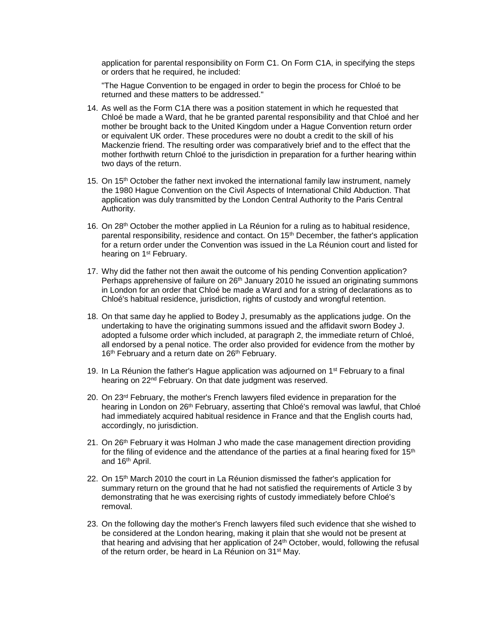application for parental responsibility on Form C1. On Form C1A, in specifying the steps or orders that he required, he included:

"The Hague Convention to be engaged in order to begin the process for Chloé to be returned and these matters to be addressed."

- 14. As well as the Form C1A there was a position statement in which he requested that Chloé be made a Ward, that he be granted parental responsibility and that Chloé and her mother be brought back to the United Kingdom under a Hague Convention return order or equivalent UK order. These procedures were no doubt a credit to the skill of his Mackenzie friend. The resulting order was comparatively brief and to the effect that the mother forthwith return Chloé to the jurisdiction in preparation for a further hearing within two days of the return.
- 15. On 15<sup>th</sup> October the father next invoked the international family law instrument, namely the 1980 Hague Convention on the Civil Aspects of International Child Abduction. That application was duly transmitted by the London Central Authority to the Paris Central Authority.
- 16. On 28<sup>th</sup> October the mother applied in La Réunion for a ruling as to habitual residence, parental responsibility, residence and contact. On 15<sup>th</sup> December, the father's application for a return order under the Convention was issued in the La Réunion court and listed for hearing on 1<sup>st</sup> February.
- 17. Why did the father not then await the outcome of his pending Convention application? Perhaps apprehensive of failure on 26<sup>th</sup> January 2010 he issued an originating summons in London for an order that Chloé be made a Ward and for a string of declarations as to Chloé's habitual residence, jurisdiction, rights of custody and wrongful retention.
- 18. On that same day he applied to Bodey J, presumably as the applications judge. On the undertaking to have the originating summons issued and the affidavit sworn Bodey J. adopted a fulsome order which included, at paragraph 2, the immediate return of Chloé, all endorsed by a penal notice. The order also provided for evidence from the mother by 16<sup>th</sup> February and a return date on 26<sup>th</sup> February.
- 19. In La Réunion the father's Hague application was adjourned on  $1<sup>st</sup>$  February to a final hearing on 22<sup>nd</sup> February. On that date judgment was reserved.
- 20. On  $23<sup>rd</sup>$  February, the mother's French lawyers filed evidence in preparation for the hearing in London on 26<sup>th</sup> February, asserting that Chloé's removal was lawful, that Chloé had immediately acquired habitual residence in France and that the English courts had, accordingly, no jurisdiction.
- 21. On 26th February it was Holman J who made the case management direction providing for the filing of evidence and the attendance of the parties at a final hearing fixed for  $15<sup>th</sup>$ and 16th April.
- 22. On 15th March 2010 the court in La Réunion dismissed the father's application for summary return on the ground that he had not satisfied the requirements of Article 3 by demonstrating that he was exercising rights of custody immediately before Chloé's removal.
- 23. On the following day the mother's French lawyers filed such evidence that she wished to be considered at the London hearing, making it plain that she would not be present at that hearing and advising that her application of 24<sup>th</sup> October, would, following the refusal of the return order, be heard in La Réunion on 31<sup>st</sup> May.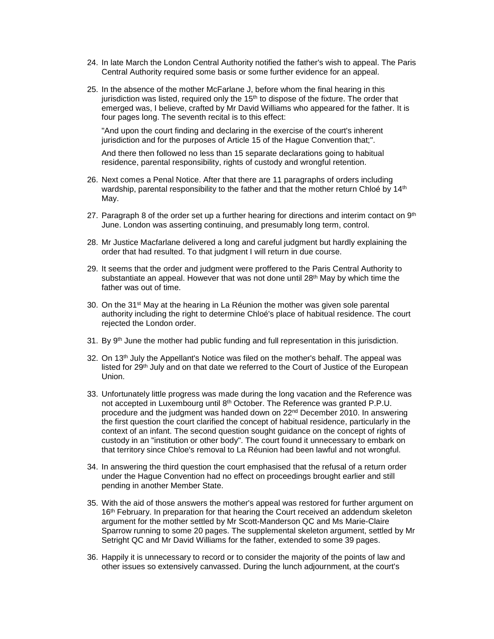- 24. In late March the London Central Authority notified the father's wish to appeal. The Paris Central Authority required some basis or some further evidence for an appeal.
- 25. In the absence of the mother McFarlane J, before whom the final hearing in this jurisdiction was listed, required only the  $15<sup>th</sup>$  to dispose of the fixture. The order that emerged was, I believe, crafted by Mr David Williams who appeared for the father. It is four pages long. The seventh recital is to this effect:

"And upon the court finding and declaring in the exercise of the court's inherent jurisdiction and for the purposes of Article 15 of the Hague Convention that;".

And there then followed no less than 15 separate declarations going to habitual residence, parental responsibility, rights of custody and wrongful retention.

- 26. Next comes a Penal Notice. After that there are 11 paragraphs of orders including wardship, parental responsibility to the father and that the mother return Chloé by 14<sup>th</sup> May.
- 27. Paragraph 8 of the order set up a further hearing for directions and interim contact on  $9<sup>th</sup>$ June. London was asserting continuing, and presumably long term, control.
- 28. Mr Justice Macfarlane delivered a long and careful judgment but hardly explaining the order that had resulted. To that judgment I will return in due course.
- 29. It seems that the order and judgment were proffered to the Paris Central Authority to substantiate an appeal. However that was not done until 28<sup>th</sup> May by which time the father was out of time.
- 30. On the  $31<sup>st</sup>$  May at the hearing in La Réunion the mother was given sole parental authority including the right to determine Chloé's place of habitual residence. The court rejected the London order.
- 31. By 9<sup>th</sup> June the mother had public funding and full representation in this jurisdiction.
- $32.$  On 13<sup>th</sup> July the Appellant's Notice was filed on the mother's behalf. The appeal was listed for 29<sup>th</sup> July and on that date we referred to the Court of Justice of the European Union.
- 33. Unfortunately little progress was made during the long vacation and the Reference was not accepted in Luxembourg until 8<sup>th</sup> October. The Reference was granted P.P.U. procedure and the judgment was handed down on 22nd December 2010. In answering the first question the court clarified the concept of habitual residence, particularly in the context of an infant. The second question sought guidance on the concept of rights of custody in an "institution or other body". The court found it unnecessary to embark on that territory since Chloe's removal to La Réunion had been lawful and not wrongful.
- 34. In answering the third question the court emphasised that the refusal of a return order under the Hague Convention had no effect on proceedings brought earlier and still pending in another Member State.
- 35. With the aid of those answers the mother's appeal was restored for further argument on 16<sup>th</sup> February. In preparation for that hearing the Court received an addendum skeleton argument for the mother settled by Mr Scott-Manderson QC and Ms Marie-Claire Sparrow running to some 20 pages. The supplemental skeleton argument, settled by Mr Setright QC and Mr David Williams for the father, extended to some 39 pages.
- 36. Happily it is unnecessary to record or to consider the majority of the points of law and other issues so extensively canvassed. During the lunch adjournment, at the court's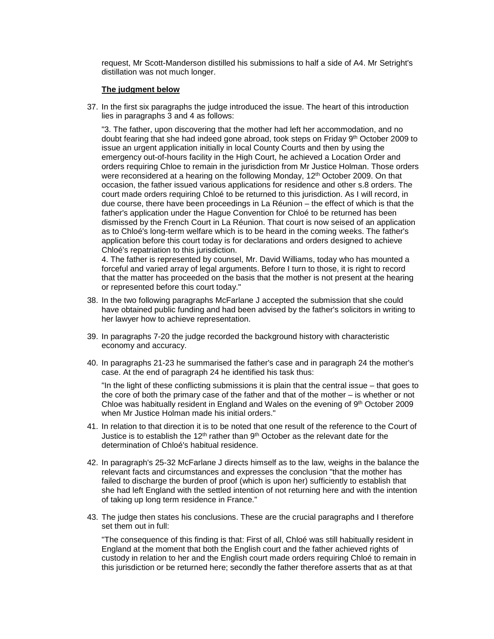request, Mr Scott-Manderson distilled his submissions to half a side of A4. Mr Setright's distillation was not much longer.

### **The judgment below**

37. In the first six paragraphs the judge introduced the issue. The heart of this introduction lies in paragraphs 3 and 4 as follows:

"3. The father, upon discovering that the mother had left her accommodation, and no doubt fearing that she had indeed gone abroad, took steps on Friday 9th October 2009 to issue an urgent application initially in local County Courts and then by using the emergency out-of-hours facility in the High Court, he achieved a Location Order and orders requiring Chloe to remain in the jurisdiction from Mr Justice Holman. Those orders were reconsidered at a hearing on the following Monday, 12<sup>th</sup> October 2009. On that occasion, the father issued various applications for residence and other s.8 orders. The court made orders requiring Chloé to be returned to this jurisdiction. As I will record, in due course, there have been proceedings in La Réunion – the effect of which is that the father's application under the Hague Convention for Chloé to be returned has been dismissed by the French Court in La Réunion. That court is now seised of an application as to Chloé's long-term welfare which is to be heard in the coming weeks. The father's application before this court today is for declarations and orders designed to achieve Chloé's repatriation to this jurisdiction.

4. The father is represented by counsel, Mr. David Williams, today who has mounted a forceful and varied array of legal arguments. Before I turn to those, it is right to record that the matter has proceeded on the basis that the mother is not present at the hearing or represented before this court today."

- 38. In the two following paragraphs McFarlane J accepted the submission that she could have obtained public funding and had been advised by the father's solicitors in writing to her lawyer how to achieve representation.
- 39. In paragraphs 7-20 the judge recorded the background history with characteristic economy and accuracy.
- 40. In paragraphs 21-23 he summarised the father's case and in paragraph 24 the mother's case. At the end of paragraph 24 he identified his task thus:

"In the light of these conflicting submissions it is plain that the central issue – that goes to the core of both the primary case of the father and that of the mother – is whether or not Chloe was habitually resident in England and Wales on the evening of 9th October 2009 when Mr Justice Holman made his initial orders."

- 41. In relation to that direction it is to be noted that one result of the reference to the Court of Justice is to establish the 12<sup>th</sup> rather than  $9<sup>th</sup>$  October as the relevant date for the determination of Chloé's habitual residence.
- 42. In paragraph's 25-32 McFarlane J directs himself as to the law, weighs in the balance the relevant facts and circumstances and expresses the conclusion "that the mother has failed to discharge the burden of proof (which is upon her) sufficiently to establish that she had left England with the settled intention of not returning here and with the intention of taking up long term residence in France."
- 43. The judge then states his conclusions. These are the crucial paragraphs and I therefore set them out in full:

"The consequence of this finding is that: First of all, Chloé was still habitually resident in England at the moment that both the English court and the father achieved rights of custody in relation to her and the English court made orders requiring Chloé to remain in this jurisdiction or be returned here; secondly the father therefore asserts that as at that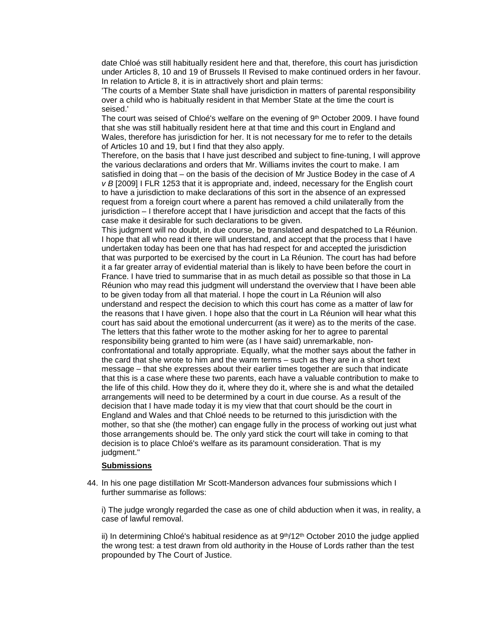date Chloé was still habitually resident here and that, therefore, this court has jurisdiction under Articles 8, 10 and 19 of Brussels II Revised to make continued orders in her favour. In relation to Article 8, it is in attractively short and plain terms:

'The courts of a Member State shall have jurisdiction in matters of parental responsibility over a child who is habitually resident in that Member State at the time the court is seised.'

The court was seised of Chloé's welfare on the evening of 9th October 2009. I have found that she was still habitually resident here at that time and this court in England and Wales, therefore has jurisdiction for her. It is not necessary for me to refer to the details of Articles 10 and 19, but I find that they also apply.

Therefore, on the basis that I have just described and subject to fine-tuning, I will approve the various declarations and orders that Mr. Williams invites the court to make. I am satisfied in doing that – on the basis of the decision of Mr Justice Bodey in the case of *A v B* [2009] I FLR 1253 that it is appropriate and, indeed, necessary for the English court to have a jurisdiction to make declarations of this sort in the absence of an expressed request from a foreign court where a parent has removed a child unilaterally from the jurisdiction – I therefore accept that I have jurisdiction and accept that the facts of this case make it desirable for such declarations to be given.

This judgment will no doubt, in due course, be translated and despatched to La Réunion. I hope that all who read it there will understand, and accept that the process that I have undertaken today has been one that has had respect for and accepted the jurisdiction that was purported to be exercised by the court in La Réunion. The court has had before it a far greater array of evidential material than is likely to have been before the court in France. I have tried to summarise that in as much detail as possible so that those in La Réunion who may read this judgment will understand the overview that I have been able to be given today from all that material. I hope the court in La Réunion will also understand and respect the decision to which this court has come as a matter of law for the reasons that I have given. I hope also that the court in La Réunion will hear what this court has said about the emotional undercurrent (as it were) as to the merits of the case. The letters that this father wrote to the mother asking for her to agree to parental responsibility being granted to him were (as I have said) unremarkable, nonconfrontational and totally appropriate. Equally, what the mother says about the father in the card that she wrote to him and the warm terms – such as they are in a short text message – that she expresses about their earlier times together are such that indicate that this is a case where these two parents, each have a valuable contribution to make to the life of this child. How they do it, where they do it, where she is and what the detailed arrangements will need to be determined by a court in due course. As a result of the decision that I have made today it is my view that that court should be the court in England and Wales and that Chloé needs to be returned to this jurisdiction with the mother, so that she (the mother) can engage fully in the process of working out just what those arrangements should be. The only yard stick the court will take in coming to that decision is to place Chloé's welfare as its paramount consideration. That is my judgment."

# **Submissions**

44. In his one page distillation Mr Scott-Manderson advances four submissions which I further summarise as follows:

i) The judge wrongly regarded the case as one of child abduction when it was, in reality, a case of lawful removal.

ii) In determining Chloé's habitual residence as at  $9<sup>th</sup>/12<sup>th</sup>$  October 2010 the judge applied the wrong test: a test drawn from old authority in the House of Lords rather than the test propounded by The Court of Justice.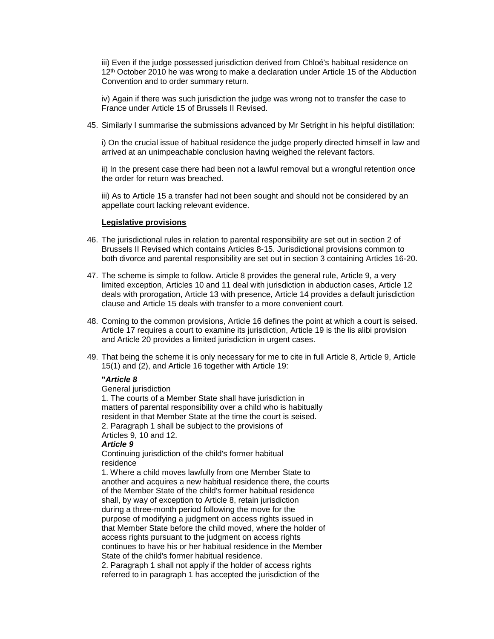iii) Even if the judge possessed jurisdiction derived from Chloé's habitual residence on 12th October 2010 he was wrong to make a declaration under Article 15 of the Abduction Convention and to order summary return.

iv) Again if there was such jurisdiction the judge was wrong not to transfer the case to France under Article 15 of Brussels II Revised.

45. Similarly I summarise the submissions advanced by Mr Setright in his helpful distillation:

i) On the crucial issue of habitual residence the judge properly directed himself in law and arrived at an unimpeachable conclusion having weighed the relevant factors.

ii) In the present case there had been not a lawful removal but a wrongful retention once the order for return was breached.

iii) As to Article 15 a transfer had not been sought and should not be considered by an appellate court lacking relevant evidence.

### **Legislative provisions**

- 46. The jurisdictional rules in relation to parental responsibility are set out in section 2 of Brussels II Revised which contains Articles 8-15. Jurisdictional provisions common to both divorce and parental responsibility are set out in section 3 containing Articles 16-20.
- 47. The scheme is simple to follow. Article 8 provides the general rule, Article 9, a very limited exception, Articles 10 and 11 deal with jurisdiction in abduction cases, Article 12 deals with prorogation, Article 13 with presence, Article 14 provides a default jurisdiction clause and Article 15 deals with transfer to a more convenient court.
- 48. Coming to the common provisions, Article 16 defines the point at which a court is seised. Article 17 requires a court to examine its jurisdiction, Article 19 is the lis alibi provision and Article 20 provides a limited jurisdiction in urgent cases.
- 49. That being the scheme it is only necessary for me to cite in full Article 8, Article 9, Article 15(1) and (2), and Article 16 together with Article 19:

### **"***Article 8*

### General jurisdiction

1. The courts of a Member State shall have jurisdiction in matters of parental responsibility over a child who is habitually resident in that Member State at the time the court is seised. 2. Paragraph 1 shall be subject to the provisions of Articles 9, 10 and 12.

# *Article 9*

Continuing jurisdiction of the child's former habitual residence

1. Where a child moves lawfully from one Member State to another and acquires a new habitual residence there, the courts of the Member State of the child's former habitual residence shall, by way of exception to Article 8, retain jurisdiction during a three-month period following the move for the purpose of modifying a judgment on access rights issued in that Member State before the child moved, where the holder of access rights pursuant to the judgment on access rights continues to have his or her habitual residence in the Member State of the child's former habitual residence.

2. Paragraph 1 shall not apply if the holder of access rights referred to in paragraph 1 has accepted the jurisdiction of the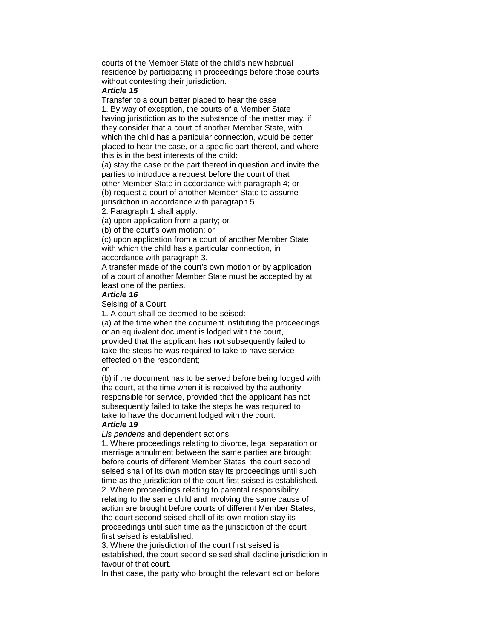courts of the Member State of the child's new habitual residence by participating in proceedings before those courts without contesting their jurisdiction.

### *Article 15*

Transfer to a court better placed to hear the case 1. By way of exception, the courts of a Member State having jurisdiction as to the substance of the matter may, if they consider that a court of another Member State, with which the child has a particular connection, would be better placed to hear the case, or a specific part thereof, and where this is in the best interests of the child:

(a) stay the case or the part thereof in question and invite the parties to introduce a request before the court of that other Member State in accordance with paragraph 4; or

(b) request a court of another Member State to assume jurisdiction in accordance with paragraph 5.

2. Paragraph 1 shall apply:

(a) upon application from a party; or

(b) of the court's own motion; or

(c) upon application from a court of another Member State with which the child has a particular connection, in accordance with paragraph 3.

A transfer made of the court's own motion or by application of a court of another Member State must be accepted by at least one of the parties.

### *Article 16*

Seising of a Court

1. A court shall be deemed to be seised:

(a) at the time when the document instituting the proceedings or an equivalent document is lodged with the court, provided that the applicant has not subsequently failed to take the steps he was required to take to have service effected on the respondent;

#### or

(b) if the document has to be served before being lodged with the court, at the time when it is received by the authority responsible for service, provided that the applicant has not subsequently failed to take the steps he was required to take to have the document lodged with the court.

### *Article 19*

*Lis pendens* and dependent actions

1. Where proceedings relating to divorce, legal separation or marriage annulment between the same parties are brought before courts of different Member States, the court second seised shall of its own motion stay its proceedings until such time as the jurisdiction of the court first seised is established. 2. Where proceedings relating to parental responsibility relating to the same child and involving the same cause of action are brought before courts of different Member States, the court second seised shall of its own motion stay its proceedings until such time as the jurisdiction of the court first seised is established.

3. Where the jurisdiction of the court first seised is established, the court second seised shall decline jurisdiction in favour of that court.

In that case, the party who brought the relevant action before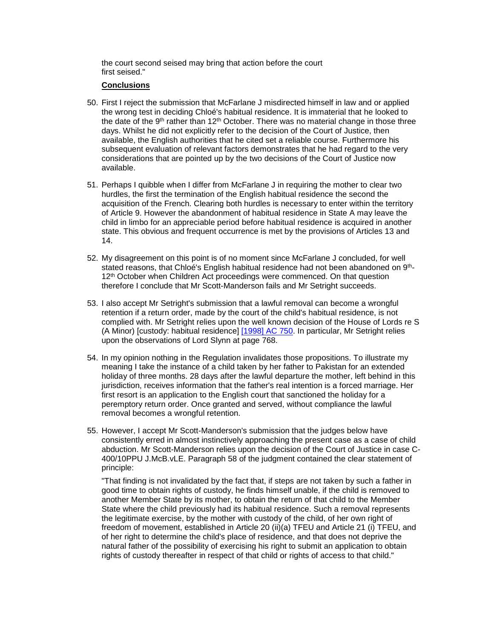the court second seised may bring that action before the court first seised."

### **Conclusions**

- 50. First I reject the submission that McFarlane J misdirected himself in law and or applied the wrong test in deciding Chloé's habitual residence. It is immaterial that he looked to the date of the 9<sup>th</sup> rather than 12<sup>th</sup> October. There was no material change in those three days. Whilst he did not explicitly refer to the decision of the Court of Justice, then available, the English authorities that he cited set a reliable course. Furthermore his subsequent evaluation of relevant factors demonstrates that he had regard to the very considerations that are pointed up by the two decisions of the Court of Justice now available.
- 51. Perhaps I quibble when I differ from McFarlane J in requiring the mother to clear two hurdles, the first the termination of the English habitual residence the second the acquisition of the French. Clearing both hurdles is necessary to enter within the territory of Article 9. However the abandonment of habitual residence in State A may leave the child in limbo for an appreciable period before habitual residence is acquired in another state. This obvious and frequent occurrence is met by the provisions of Articles 13 and 14.
- 52. My disagreement on this point is of no moment since McFarlane J concluded, for well stated reasons, that Chloé's English habitual residence had not been abandoned on 9th-12<sup>th</sup> October when Children Act proceedings were commenced. On that question therefore I conclude that Mr Scott-Manderson fails and Mr Setright succeeds.
- 53. I also accept Mr Setright's submission that a lawful removal can become a wrongful retention if a return order, made by the court of the child's habitual residence, is not complied with. Mr Setright relies upon the well known decision of the House of Lords re S (A Minor) [custody: habitual residence] [\[1998\] AC 750.](http://www.bailii.org/cgi-bin/redirect.cgi?path=/uk/cases/UKHL/1997/32.html) In particular, Mr Setright relies upon the observations of Lord Slynn at page 768.
- 54. In my opinion nothing in the Regulation invalidates those propositions. To illustrate my meaning I take the instance of a child taken by her father to Pakistan for an extended holiday of three months. 28 days after the lawful departure the mother, left behind in this jurisdiction, receives information that the father's real intention is a forced marriage. Her first resort is an application to the English court that sanctioned the holiday for a peremptory return order. Once granted and served, without compliance the lawful removal becomes a wrongful retention.
- 55. However, I accept Mr Scott-Manderson's submission that the judges below have consistently erred in almost instinctively approaching the present case as a case of child abduction. Mr Scott-Manderson relies upon the decision of the Court of Justice in case C-400/10PPU J.McB.vLE. Paragraph 58 of the judgment contained the clear statement of principle:

"That finding is not invalidated by the fact that, if steps are not taken by such a father in good time to obtain rights of custody, he finds himself unable, if the child is removed to another Member State by its mother, to obtain the return of that child to the Member State where the child previously had its habitual residence. Such a removal represents the legitimate exercise, by the mother with custody of the child, of her own right of freedom of movement, established in Article 20 (ii)(a) TFEU and Article 21 (i) TFEU, and of her right to determine the child's place of residence, and that does not deprive the natural father of the possibility of exercising his right to submit an application to obtain rights of custody thereafter in respect of that child or rights of access to that child."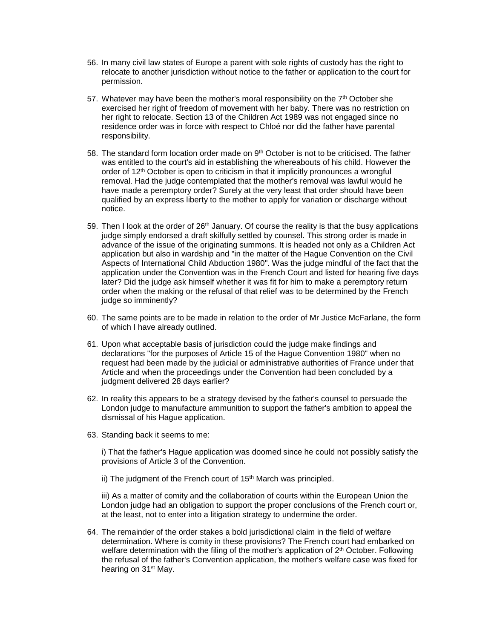- 56. In many civil law states of Europe a parent with sole rights of custody has the right to relocate to another jurisdiction without notice to the father or application to the court for permission.
- 57. Whatever may have been the mother's moral responsibility on the  $7<sup>th</sup>$  October she exercised her right of freedom of movement with her baby. There was no restriction on her right to relocate. Section 13 of the Children Act 1989 was not engaged since no residence order was in force with respect to Chloé nor did the father have parental responsibility.
- 58. The standard form location order made on  $9<sup>th</sup>$  October is not to be criticised. The father was entitled to the court's aid in establishing the whereabouts of his child. However the order of 12<sup>th</sup> October is open to criticism in that it implicitly pronounces a wrongful removal. Had the judge contemplated that the mother's removal was lawful would he have made a peremptory order? Surely at the very least that order should have been qualified by an express liberty to the mother to apply for variation or discharge without notice.
- 59. Then I look at the order of 26<sup>th</sup> January. Of course the reality is that the busy applications judge simply endorsed a draft skilfully settled by counsel. This strong order is made in advance of the issue of the originating summons. It is headed not only as a Children Act application but also in wardship and "in the matter of the Hague Convention on the Civil Aspects of International Child Abduction 1980". Was the judge mindful of the fact that the application under the Convention was in the French Court and listed for hearing five days later? Did the judge ask himself whether it was fit for him to make a peremptory return order when the making or the refusal of that relief was to be determined by the French judge so imminently?
- 60. The same points are to be made in relation to the order of Mr Justice McFarlane, the form of which I have already outlined.
- 61. Upon what acceptable basis of jurisdiction could the judge make findings and declarations "for the purposes of Article 15 of the Hague Convention 1980" when no request had been made by the judicial or administrative authorities of France under that Article and when the proceedings under the Convention had been concluded by a judgment delivered 28 days earlier?
- 62. In reality this appears to be a strategy devised by the father's counsel to persuade the London judge to manufacture ammunition to support the father's ambition to appeal the dismissal of his Hague application.
- 63. Standing back it seems to me:

i) That the father's Hague application was doomed since he could not possibly satisfy the provisions of Article 3 of the Convention.

ii) The judgment of the French court of  $15<sup>th</sup>$  March was principled.

iii) As a matter of comity and the collaboration of courts within the European Union the London judge had an obligation to support the proper conclusions of the French court or, at the least, not to enter into a litigation strategy to undermine the order.

64. The remainder of the order stakes a bold jurisdictional claim in the field of welfare determination. Where is comity in these provisions? The French court had embarked on welfare determination with the filing of the mother's application of 2<sup>th</sup> October. Following the refusal of the father's Convention application, the mother's welfare case was fixed for hearing on 31st May.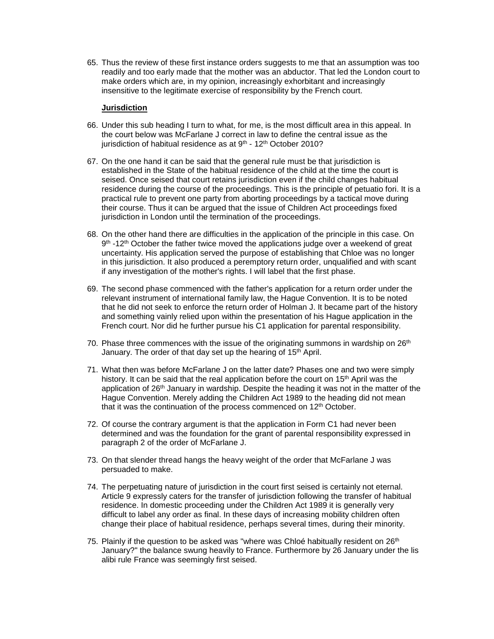65. Thus the review of these first instance orders suggests to me that an assumption was too readily and too early made that the mother was an abductor. That led the London court to make orders which are, in my opinion, increasingly exhorbitant and increasingly insensitive to the legitimate exercise of responsibility by the French court.

### **Jurisdiction**

- 66. Under this sub heading I turn to what, for me, is the most difficult area in this appeal. In the court below was McFarlane J correct in law to define the central issue as the jurisdiction of habitual residence as at 9<sup>th</sup> - 12<sup>th</sup> October 2010?
- 67. On the one hand it can be said that the general rule must be that jurisdiction is established in the State of the habitual residence of the child at the time the court is seised. Once seised that court retains jurisdiction even if the child changes habitual residence during the course of the proceedings. This is the principle of petuatio fori. It is a practical rule to prevent one party from aborting proceedings by a tactical move during their course. Thus it can be argued that the issue of Children Act proceedings fixed jurisdiction in London until the termination of the proceedings.
- 68. On the other hand there are difficulties in the application of the principle in this case. On  $9<sup>th</sup>$  -12<sup>th</sup> October the father twice moved the applications judge over a weekend of great uncertainty. His application served the purpose of establishing that Chloe was no longer in this jurisdiction. It also produced a peremptory return order, unqualified and with scant if any investigation of the mother's rights. I will label that the first phase.
- 69. The second phase commenced with the father's application for a return order under the relevant instrument of international family law, the Hague Convention. It is to be noted that he did not seek to enforce the return order of Holman J. It became part of the history and something vainly relied upon within the presentation of his Hague application in the French court. Nor did he further pursue his C1 application for parental responsibility.
- 70. Phase three commences with the issue of the originating summons in wardship on  $26<sup>th</sup>$ January. The order of that day set up the hearing of 15<sup>th</sup> April.
- 71. What then was before McFarlane J on the latter date? Phases one and two were simply history. It can be said that the real application before the court on 15<sup>th</sup> April was the application of 26<sup>th</sup> January in wardship. Despite the heading it was not in the matter of the Hague Convention. Merely adding the Children Act 1989 to the heading did not mean that it was the continuation of the process commenced on  $12<sup>th</sup>$  October.
- 72. Of course the contrary argument is that the application in Form C1 had never been determined and was the foundation for the grant of parental responsibility expressed in paragraph 2 of the order of McFarlane J.
- 73. On that slender thread hangs the heavy weight of the order that McFarlane J was persuaded to make.
- 74. The perpetuating nature of jurisdiction in the court first seised is certainly not eternal. Article 9 expressly caters for the transfer of jurisdiction following the transfer of habitual residence. In domestic proceeding under the Children Act 1989 it is generally very difficult to label any order as final. In these days of increasing mobility children often change their place of habitual residence, perhaps several times, during their minority.
- 75. Plainly if the question to be asked was "where was Chloé habitually resident on 26<sup>th</sup> January?" the balance swung heavily to France. Furthermore by 26 January under the lis alibi rule France was seemingly first seised.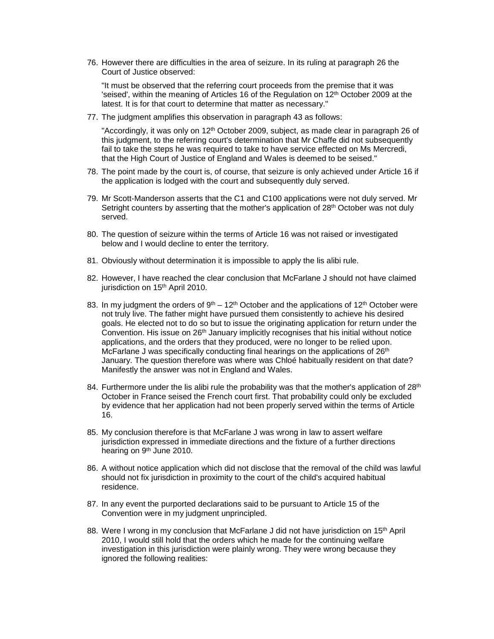76. However there are difficulties in the area of seizure. In its ruling at paragraph 26 the Court of Justice observed:

"It must be observed that the referring court proceeds from the premise that it was 'seised', within the meaning of Articles 16 of the Regulation on 12th October 2009 at the latest. It is for that court to determine that matter as necessary."

77. The judgment amplifies this observation in paragraph 43 as follows:

"Accordingly, it was only on 12<sup>th</sup> October 2009, subject, as made clear in paragraph 26 of this judgment, to the referring court's determination that Mr Chaffe did not subsequently fail to take the steps he was required to take to have service effected on Ms Mercredi, that the High Court of Justice of England and Wales is deemed to be seised."

- 78. The point made by the court is, of course, that seizure is only achieved under Article 16 if the application is lodged with the court and subsequently duly served.
- 79. Mr Scott-Manderson asserts that the C1 and C100 applications were not duly served. Mr Setright counters by asserting that the mother's application of  $28<sup>th</sup>$  October was not duly served.
- 80. The question of seizure within the terms of Article 16 was not raised or investigated below and I would decline to enter the territory.
- 81. Obviously without determination it is impossible to apply the lis alibi rule.
- 82. However, I have reached the clear conclusion that McFarlane J should not have claimed jurisdiction on 15<sup>th</sup> April 2010.
- 83. In my judgment the orders of  $9<sup>th</sup> 12<sup>th</sup>$  October and the applications of 12<sup>th</sup> October were not truly live. The father might have pursued them consistently to achieve his desired goals. He elected not to do so but to issue the originating application for return under the Convention. His issue on 26<sup>th</sup> January implicitly recognises that his initial without notice applications, and the orders that they produced, were no longer to be relied upon. McFarlane J was specifically conducting final hearings on the applications of 26<sup>th</sup> January. The question therefore was where was Chloé habitually resident on that date? Manifestly the answer was not in England and Wales.
- 84. Furthermore under the lis alibi rule the probability was that the mother's application of  $28<sup>th</sup>$ October in France seised the French court first. That probability could only be excluded by evidence that her application had not been properly served within the terms of Article 16.
- 85. My conclusion therefore is that McFarlane J was wrong in law to assert welfare jurisdiction expressed in immediate directions and the fixture of a further directions hearing on 9<sup>th</sup> June 2010.
- 86. A without notice application which did not disclose that the removal of the child was lawful should not fix jurisdiction in proximity to the court of the child's acquired habitual residence.
- 87. In any event the purported declarations said to be pursuant to Article 15 of the Convention were in my judgment unprincipled.
- 88. Were I wrong in my conclusion that McFarlane J did not have jurisdiction on 15<sup>th</sup> April 2010, I would still hold that the orders which he made for the continuing welfare investigation in this jurisdiction were plainly wrong. They were wrong because they ignored the following realities: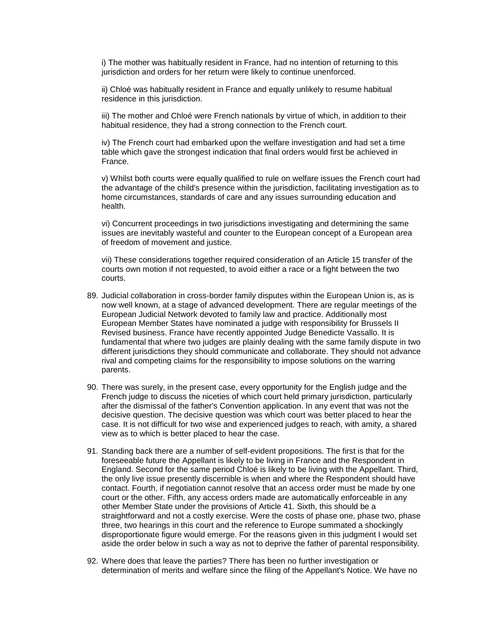i) The mother was habitually resident in France, had no intention of returning to this jurisdiction and orders for her return were likely to continue unenforced.

ii) Chloé was habitually resident in France and equally unlikely to resume habitual residence in this jurisdiction.

iii) The mother and Chloé were French nationals by virtue of which, in addition to their habitual residence, they had a strong connection to the French court.

iv) The French court had embarked upon the welfare investigation and had set a time table which gave the strongest indication that final orders would first be achieved in France.

v) Whilst both courts were equally qualified to rule on welfare issues the French court had the advantage of the child's presence within the jurisdiction, facilitating investigation as to home circumstances, standards of care and any issues surrounding education and health.

vi) Concurrent proceedings in two jurisdictions investigating and determining the same issues are inevitably wasteful and counter to the European concept of a European area of freedom of movement and justice.

vii) These considerations together required consideration of an Article 15 transfer of the courts own motion if not requested, to avoid either a race or a fight between the two courts.

- 89. Judicial collaboration in cross-border family disputes within the European Union is, as is now well known, at a stage of advanced development. There are regular meetings of the European Judicial Network devoted to family law and practice. Additionally most European Member States have nominated a judge with responsibility for Brussels II Revised business. France have recently appointed Judge Benedicte Vassallo. It is fundamental that where two judges are plainly dealing with the same family dispute in two different jurisdictions they should communicate and collaborate. They should not advance rival and competing claims for the responsibility to impose solutions on the warring parents.
- 90. There was surely, in the present case, every opportunity for the English judge and the French judge to discuss the niceties of which court held primary jurisdiction, particularly after the dismissal of the father's Convention application. In any event that was not the decisive question. The decisive question was which court was better placed to hear the case. It is not difficult for two wise and experienced judges to reach, with amity, a shared view as to which is better placed to hear the case.
- 91. Standing back there are a number of self-evident propositions. The first is that for the foreseeable future the Appellant is likely to be living in France and the Respondent in England. Second for the same period Chloé is likely to be living with the Appellant. Third, the only live issue presently discernible is when and where the Respondent should have contact. Fourth, if negotiation cannot resolve that an access order must be made by one court or the other. Fifth, any access orders made are automatically enforceable in any other Member State under the provisions of Article 41. Sixth, this should be a straightforward and not a costly exercise. Were the costs of phase one, phase two, phase three, two hearings in this court and the reference to Europe summated a shockingly disproportionate figure would emerge. For the reasons given in this judgment I would set aside the order below in such a way as not to deprive the father of parental responsibility.
- 92. Where does that leave the parties? There has been no further investigation or determination of merits and welfare since the filing of the Appellant's Notice. We have no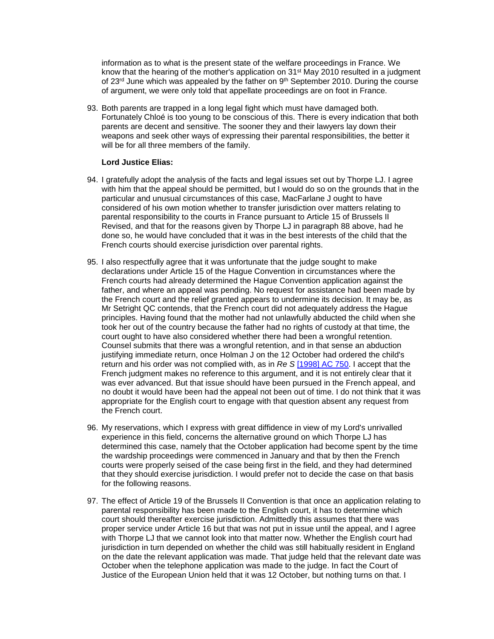information as to what is the present state of the welfare proceedings in France. We know that the hearing of the mother's application on  $31<sup>st</sup>$  May 2010 resulted in a judgment of 23<sup>rd</sup> June which was appealed by the father on 9<sup>th</sup> September 2010. During the course of argument, we were only told that appellate proceedings are on foot in France.

93. Both parents are trapped in a long legal fight which must have damaged both. Fortunately Chloé is too young to be conscious of this. There is every indication that both parents are decent and sensitive. The sooner they and their lawyers lay down their weapons and seek other ways of expressing their parental responsibilities, the better it will be for all three members of the family.

### **Lord Justice Elias:**

- 94. I gratefully adopt the analysis of the facts and legal issues set out by Thorpe LJ. I agree with him that the appeal should be permitted, but I would do so on the grounds that in the particular and unusual circumstances of this case, MacFarlane J ought to have considered of his own motion whether to transfer jurisdiction over matters relating to parental responsibility to the courts in France pursuant to Article 15 of Brussels II Revised, and that for the reasons given by Thorpe LJ in paragraph 88 above, had he done so, he would have concluded that it was in the best interests of the child that the French courts should exercise jurisdiction over parental rights.
- 95. I also respectfully agree that it was unfortunate that the judge sought to make declarations under Article 15 of the Hague Convention in circumstances where the French courts had already determined the Hague Convention application against the father, and where an appeal was pending. No request for assistance had been made by the French court and the relief granted appears to undermine its decision. It may be, as Mr Setright QC contends, that the French court did not adequately address the Hague principles. Having found that the mother had not unlawfully abducted the child when she took her out of the country because the father had no rights of custody at that time, the court ought to have also considered whether there had been a wrongful retention. Counsel submits that there was a wrongful retention, and in that sense an abduction justifying immediate return, once Holman J on the 12 October had ordered the child's return and his order was not complied with, as in *Re S* [\[1998\] AC 750.](http://www.bailii.org/cgi-bin/redirect.cgi?path=/uk/cases/UKHL/1997/32.html) I accept that the French judgment makes no reference to this argument, and it is not entirely clear that it was ever advanced. But that issue should have been pursued in the French appeal, and no doubt it would have been had the appeal not been out of time. I do not think that it was appropriate for the English court to engage with that question absent any request from the French court.
- 96. My reservations, which I express with great diffidence in view of my Lord's unrivalled experience in this field, concerns the alternative ground on which Thorpe LJ has determined this case, namely that the October application had become spent by the time the wardship proceedings were commenced in January and that by then the French courts were properly seised of the case being first in the field, and they had determined that they should exercise jurisdiction. I would prefer not to decide the case on that basis for the following reasons.
- 97. The effect of Article 19 of the Brussels II Convention is that once an application relating to parental responsibility has been made to the English court, it has to determine which court should thereafter exercise jurisdiction. Admittedly this assumes that there was proper service under Article 16 but that was not put in issue until the appeal, and I agree with Thorpe LJ that we cannot look into that matter now. Whether the English court had jurisdiction in turn depended on whether the child was still habitually resident in England on the date the relevant application was made. That judge held that the relevant date was October when the telephone application was made to the judge. In fact the Court of Justice of the European Union held that it was 12 October, but nothing turns on that. I